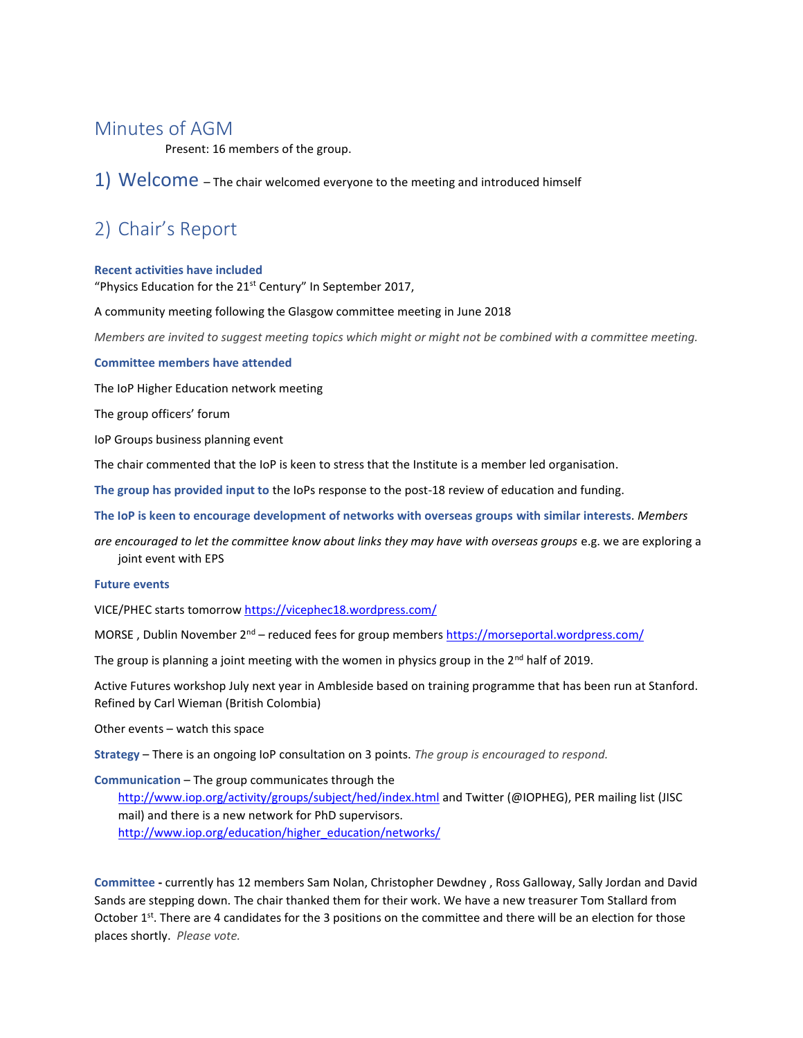## Minutes of AGM

Present: 16 members of the group.

1) Welcome – The chair welcomed everyone to the meeting and introduced himself

# 2) Chair's Report

#### **Recent activities have included**

"Physics Education for the  $21<sup>st</sup>$  Century" In September 2017,

A community meeting following the Glasgow committee meeting in June 2018

*Members are invited to suggest meeting topics which might or might not be combined with a committee meeting.*

#### **Committee members have attended**

The IoP Higher Education network meeting

The group officers' forum

IoP Groups business planning event

The chair commented that the IoP is keen to stress that the Institute is a member led organisation.

**The group has provided input to** the IoPs response to the post-18 review of education and funding.

**The IoP is keen to encourage development of networks with overseas groups with similar interests**. *Members*

*are encouraged to let the committee know about links they may have with overseas groups* e.g. we are exploring a joint event with EPS

#### **Future events**

VICE/PHEC starts tomorro[w https://vicephec18.wordpress.com/](https://vicephec18.wordpress.com/) 

MORSE, Dublin November  $2^{nd}$  – reduced fees for group member[s https://morseportal.wordpress.com/](https://morseportal.wordpress.com/)

The group is planning a joint meeting with the women in physics group in the  $2^{nd}$  half of 2019.

Active Futures workshop July next year in Ambleside based on training programme that has been run at Stanford. Refined by Carl Wieman (British Colombia)

Other events – watch this space

**Strategy** – There is an ongoing IoP consultation on 3 points. *The group is encouraged to respond.* 

**Communication** – The group communicates through the

<http://www.iop.org/activity/groups/subject/hed/index.html> and Twitter (@IOPHEG), PER mailing list (JISC mail) and there is a new network for PhD supervisors. [http://www.iop.org/education/higher\\_education/networks/](http://www.iop.org/education/higher_education/networks/)

**Committee -** currently has 12 members Sam Nolan, Christopher Dewdney , Ross Galloway, Sally Jordan and David Sands are stepping down. The chair thanked them for their work. We have a new treasurer Tom Stallard from October 1<sup>st</sup>. There are 4 candidates for the 3 positions on the committee and there will be an election for those places shortly. *Please vote.*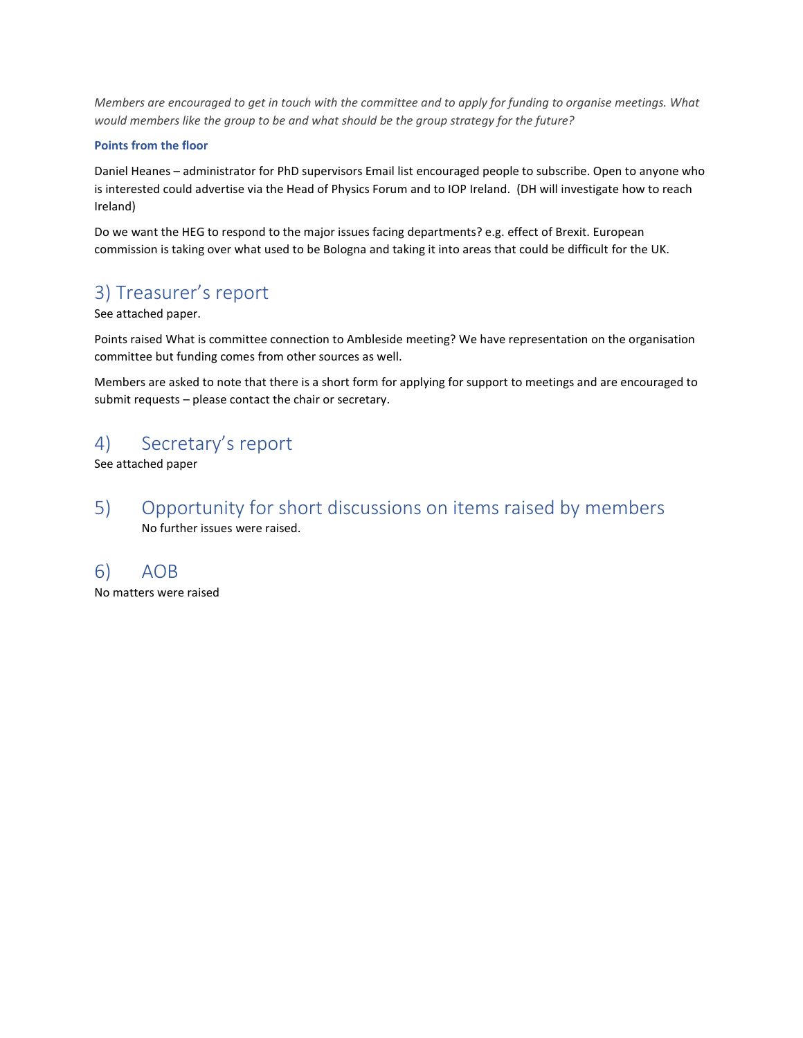*Members are encouraged to get in touch with the committee and to apply for funding to organise meetings. What would members like the group to be and what should be the group strategy for the future?*

#### **Points from the floor**

Daniel Heanes – administrator for PhD supervisors Email list encouraged people to subscribe. Open to anyone who is interested could advertise via the Head of Physics Forum and to IOP Ireland. (DH will investigate how to reach Ireland)

Do we want the HEG to respond to the major issues facing departments? e.g. effect of Brexit. European commission is taking over what used to be Bologna and taking it into areas that could be difficult for the UK.

# 3) Treasurer's report

See attached paper.

Points raised What is committee connection to Ambleside meeting? We have representation on the organisation committee but funding comes from other sources as well.

Members are asked to note that there is a short form for applying for support to meetings and are encouraged to submit requests – please contact the chair or secretary.

# 4) Secretary's report

See attached paper

5) Opportunity for short discussions on items raised by members No further issues were raised.

## 6) AOB

No matters were raised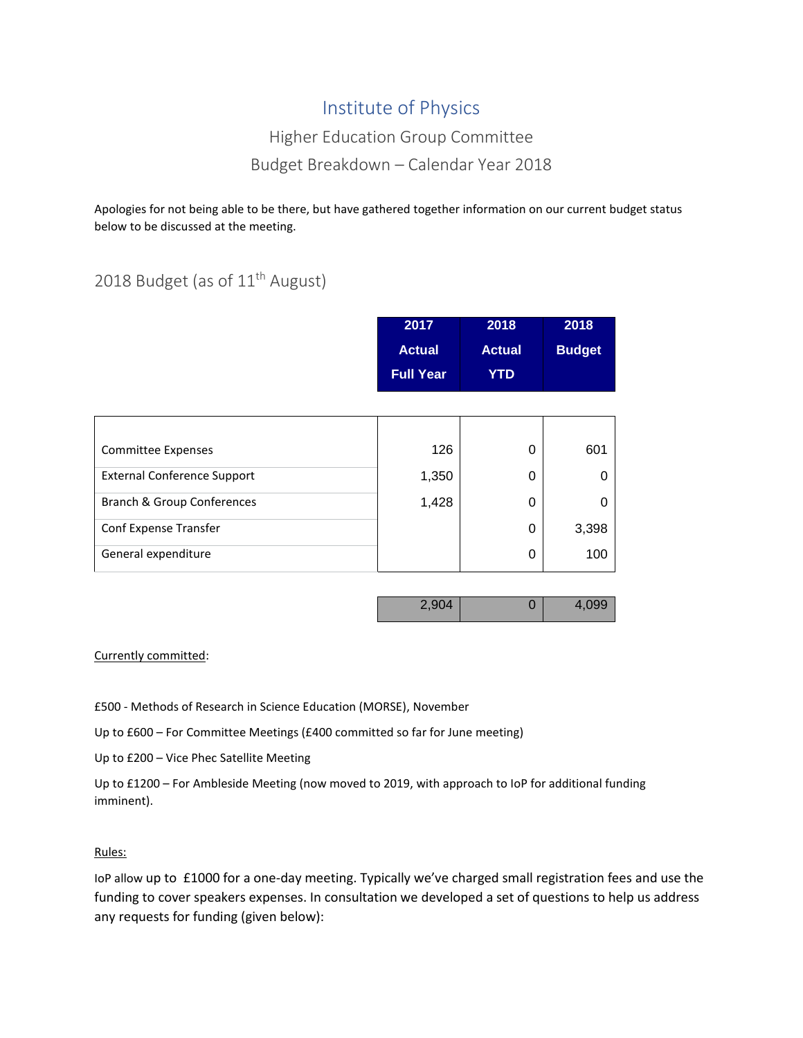# Institute of Physics

# Higher Education Group Committee Budget Breakdown – Calendar Year 2018

Apologies for not being able to be there, but have gathered together information on our current budget status below to be discussed at the meeting.

# 2018 Budget (as of 11<sup>th</sup> August)

| 2017          | 2018          | 2018          |
|---------------|---------------|---------------|
| <b>Actual</b> | <b>Actual</b> | <b>Budget</b> |
| 'Full Year.   | YTD           |               |

| <b>Committee Expenses</b>          | 126   | 0 | 601   |
|------------------------------------|-------|---|-------|
| <b>External Conference Support</b> | 1,350 | O |       |
| Branch & Group Conferences         | 1,428 | C |       |
| Conf Expense Transfer              |       | 0 | 3,398 |
| General expenditure                |       | 0 | 100   |

| 2904 |  | 4.099 |
|------|--|-------|
|------|--|-------|

### Currently committed:

£500 - Methods of Research in Science Education (MORSE), November

Up to £600 – For Committee Meetings (£400 committed so far for June meeting)

Up to £200 – Vice Phec Satellite Meeting

Up to £1200 – For Ambleside Meeting (now moved to 2019, with approach to IoP for additional funding imminent).

#### Rules:

IoP allow up to £1000 for a one-day meeting. Typically we've charged small registration fees and use the funding to cover speakers expenses. In consultation we developed a set of questions to help us address any requests for funding (given below):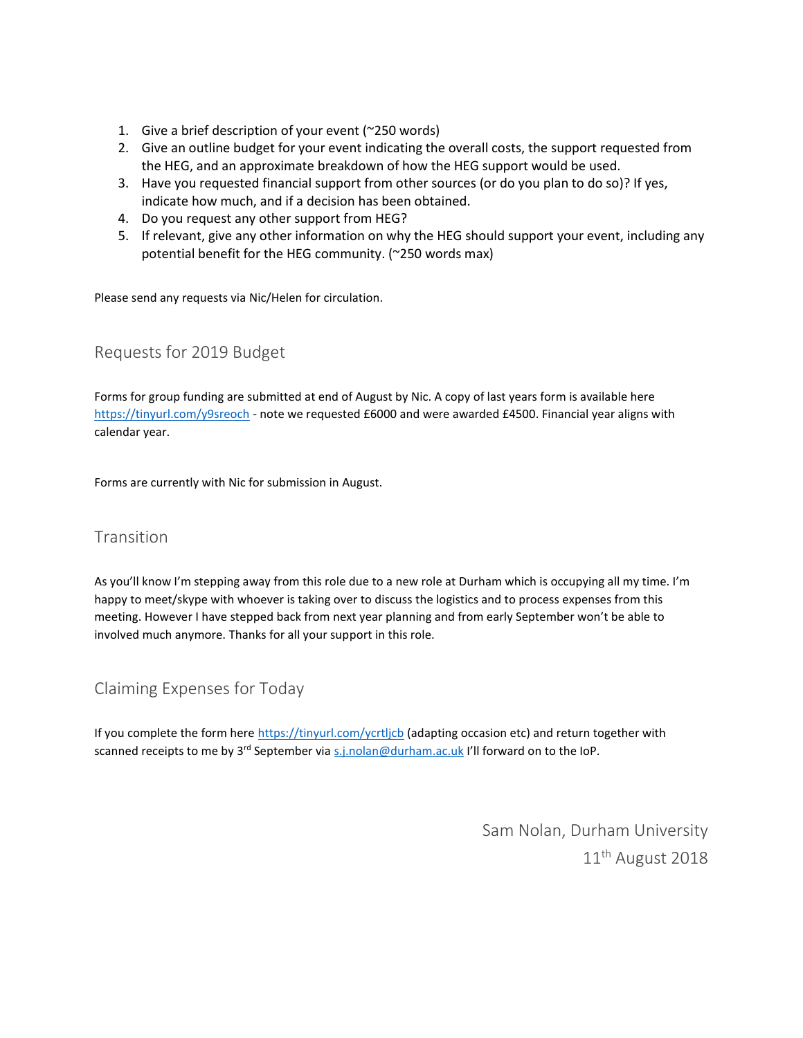- 1. Give a brief description of your event (~250 words)
- 2. Give an outline budget for your event indicating the overall costs, the support requested from the HEG, and an approximate breakdown of how the HEG support would be used.
- 3. Have you requested financial support from other sources (or do you plan to do so)? If yes, indicate how much, and if a decision has been obtained.
- 4. Do you request any other support from HEG?
- 5. If relevant, give any other information on why the HEG should support your event, including any potential benefit for the HEG community. (~250 words max)

Please send any requests via Nic/Helen for circulation.

## Requests for 2019 Budget

Forms for group funding are submitted at end of August by Nic. A copy of last years form is available here <https://tinyurl.com/y9sreoch> - note we requested £6000 and were awarded £4500. Financial year aligns with calendar year.

Forms are currently with Nic for submission in August.

### Transition

As you'll know I'm stepping away from this role due to a new role at Durham which is occupying all my time. I'm happy to meet/skype with whoever is taking over to discuss the logistics and to process expenses from this meeting. However I have stepped back from next year planning and from early September won't be able to involved much anymore. Thanks for all your support in this role.

### Claiming Expenses for Today

If you complete the form her[e https://tinyurl.com/ycrtljcb](https://tinyurl.com/ycrtljcb) (adapting occasion etc) and return together with scanned receipts to me by 3<sup>rd</sup> September via [s.j.nolan@durham.ac.uk](mailto:s.j.nolan@durham.ac.uk) I'll forward on to the IoP.

> Sam Nolan, Durham University 11th August 2018